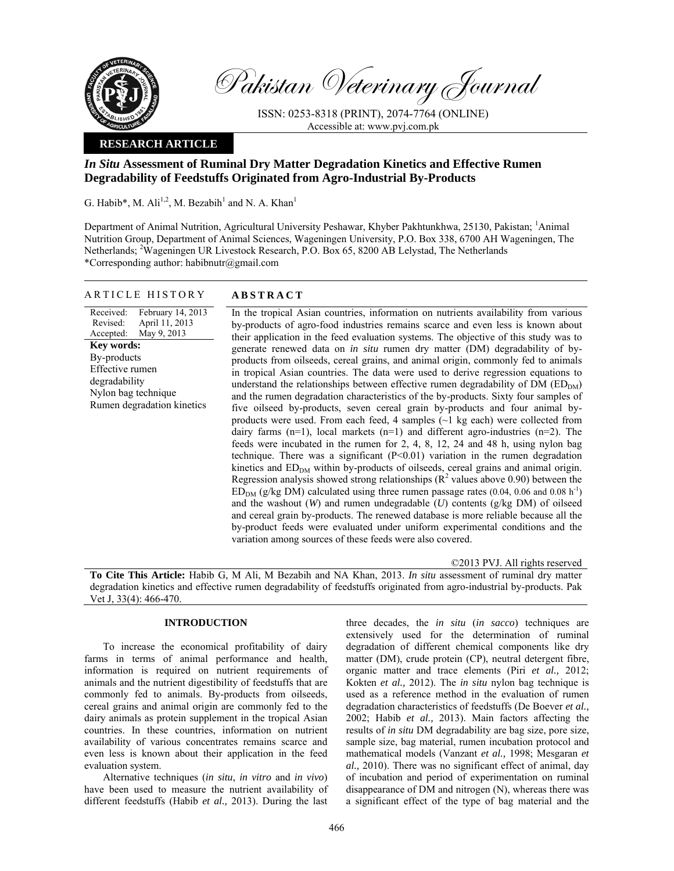

Pakistan Veterinary Journal

ISSN: 0253-8318 (PRINT), 2074-7764 (ONLINE) Accessible at: www.pvj.com.pk

# **RESEARCH ARTICLE**

# *In Situ* **Assessment of Ruminal Dry Matter Degradation Kinetics and Effective Rumen Degradability of Feedstuffs Originated from Agro-Industrial By-Products**

G. Habib\*, M. Ali<sup>1,2</sup>, M. Bezabih<sup>1</sup> and N. A. Khan<sup>1</sup>

Department of Animal Nutrition, Agricultural University Peshawar, Khyber Pakhtunkhwa, 25130, Pakistan; <sup>1</sup>Animal Nutrition Group, Department of Animal Sciences, Wageningen University, P.O. Box 338, 6700 AH Wageningen, The Netherlands; <sup>2</sup>Wageningen UR Livestock Research, P.O. Box 65, 8200 AB Lelystad, The Netherlands \*Corresponding author: habibnutr@gmail.com

## ARTICLE HISTORY **ABSTRACT**

#### Received: Revised: Accepted: February 14, 2013 April 11, 2013 May 9, 2013 **Key words:**  By-products Effective rumen degradability Nylon bag technique Rumen degradation kinetics

 In the tropical Asian countries, information on nutrients availability from various by-products of agro-food industries remains scarce and even less is known about their application in the feed evaluation systems. The objective of this study was to generate renewed data on *in situ* rumen dry matter (DM) degradability of byproducts from oilseeds, cereal grains, and animal origin, commonly fed to animals in tropical Asian countries. The data were used to derive regression equations to understand the relationships between effective rumen degradability of  $DM (ED<sub>DM</sub>)$ and the rumen degradation characteristics of the by-products. Sixty four samples of five oilseed by-products, seven cereal grain by-products and four animal byproducts were used. From each feed, 4 samples  $(\sim 1 \text{ kg each})$  were collected from dairy farms  $(n=1)$ , local markets  $(n=1)$  and different agro-industries  $(n=2)$ . The feeds were incubated in the rumen for 2, 4, 8, 12, 24 and 48 h, using nylon bag technique. There was a significant  $(P<0.01)$  variation in the rumen degradation kinetics and  $ED_{DM}$  within by-products of oilseeds, cereal grains and animal origin. Regression analysis showed strong relationships ( $\mathbb{R}^2$  values above 0.90) between the  $ED<sub>DM</sub>$  (g/kg DM) calculated using three rumen passage rates (0.04, 0.06 and 0.08 h<sup>-1</sup>) and the washout (*W*) and rumen undegradable (*U*) contents (g/kg DM) of oilseed and cereal grain by-products. The renewed database is more reliable because all the by-product feeds were evaluated under uniform experimental conditions and the variation among sources of these feeds were also covered.

©2013 PVJ. All rights reserved **To Cite This Article:** Habib G, M Ali, M Bezabih and NA Khan, 2013. *In situ* assessment of ruminal dry matter degradation kinetics and effective rumen degradability of feedstuffs originated from agro-industrial by-products. Pak Vet J, 33(4): 466-470.

# **INTRODUCTION**

To increase the economical profitability of dairy farms in terms of animal performance and health, information is required on nutrient requirements of animals and the nutrient digestibility of feedstuffs that are commonly fed to animals. By-products from oilseeds, cereal grains and animal origin are commonly fed to the dairy animals as protein supplement in the tropical Asian countries. In these countries, information on nutrient availability of various concentrates remains scarce and even less is known about their application in the feed evaluation system.

Alternative techniques (*in situ*, *in vitro* and *in vivo*) have been used to measure the nutrient availability of different feedstuffs (Habib *et al.,* 2013). During the last

three decades, the *in situ* (*in sacco*) techniques are extensively used for the determination of ruminal degradation of different chemical components like dry matter (DM), crude protein (CP), neutral detergent fibre, organic matter and trace elements (Piri *et al.,* 2012; Kokten *et al.,* 2012). The *in situ* nylon bag technique is used as a reference method in the evaluation of rumen degradation characteristics of feedstuffs (De Boever *et al.,* 2002; Habib *et al.,* 2013). Main factors affecting the results of *in situ* DM degradability are bag size, pore size, sample size, bag material, rumen incubation protocol and mathematical models (Vanzant *et al.,* 1998; Mesgaran *et al.,* 2010). There was no significant effect of animal, day of incubation and period of experimentation on ruminal disappearance of DM and nitrogen (N), whereas there was a significant effect of the type of bag material and the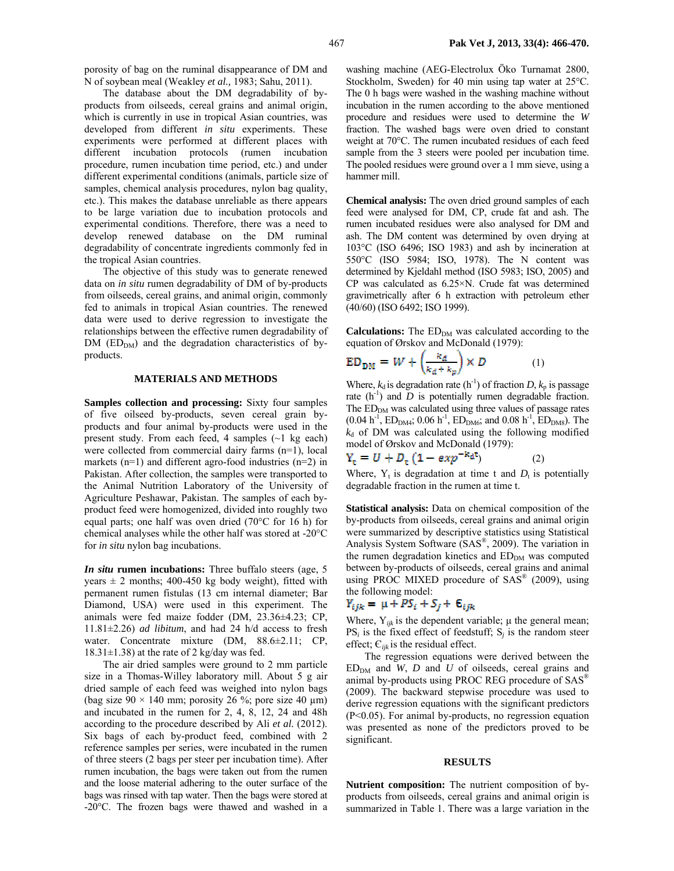porosity of bag on the ruminal disappearance of DM and N of soybean meal (Weakley *et al.,* 1983; Sahu, 2011).

The database about the DM degradability of byproducts from oilseeds, cereal grains and animal origin, which is currently in use in tropical Asian countries, was developed from different *in situ* experiments. These experiments were performed at different places with different incubation protocols (rumen incubation procedure, rumen incubation time period, etc.) and under different experimental conditions (animals, particle size of samples, chemical analysis procedures, nylon bag quality, etc.). This makes the database unreliable as there appears to be large variation due to incubation protocols and experimental conditions. Therefore, there was a need to develop renewed database on the DM ruminal degradability of concentrate ingredients commonly fed in the tropical Asian countries.

The objective of this study was to generate renewed data on *in situ* rumen degradability of DM of by-products from oilseeds, cereal grains, and animal origin, commonly fed to animals in tropical Asian countries. The renewed data were used to derive regression to investigate the relationships between the effective rumen degradability of DM  $(ED<sub>DM</sub>)$  and the degradation characteristics of byproducts.

## **MATERIALS AND METHODS**

**Samples collection and processing:** Sixty four samples of five oilseed by-products, seven cereal grain byproducts and four animal by-products were used in the present study. From each feed, 4 samples  $(\sim]$  kg each) were collected from commercial dairy farms (n=1), local markets (n=1) and different agro-food industries (n=2) in Pakistan. After collection, the samples were transported to the Animal Nutrition Laboratory of the University of Agriculture Peshawar, Pakistan. The samples of each byproduct feed were homogenized, divided into roughly two equal parts; one half was oven dried (70°C for 16 h) for chemical analyses while the other half was stored at -20°C for *in situ* nylon bag incubations.

*In situ* **rumen incubations:** Three buffalo steers (age, 5 years  $\pm$  2 months; 400-450 kg body weight), fitted with permanent rumen fistulas (13 cm internal diameter; Bar Diamond, USA) were used in this experiment. The animals were fed maize fodder (DM, 23.36±4.23; CP, 11.81±2.26) *ad libitum*, and had 24 h/d access to fresh water. Concentrate mixture (DM,  $88.6 \pm 2.11$ ; CP,  $18.31\pm1.38$ ) at the rate of 2 kg/day was fed.

The air dried samples were ground to 2 mm particle size in a Thomas-Willey laboratory mill. About 5 g air dried sample of each feed was weighed into nylon bags (bag size  $90 \times 140$  mm; porosity 26 %; pore size 40  $\mu$ m) and incubated in the rumen for 2, 4, 8, 12, 24 and 48h according to the procedure described by Ali *et al.* (2012). Six bags of each by-product feed, combined with 2 reference samples per series, were incubated in the rumen of three steers (2 bags per steer per incubation time). After rumen incubation, the bags were taken out from the rumen and the loose material adhering to the outer surface of the bags was rinsed with tap water. Then the bags were stored at -20°C. The frozen bags were thawed and washed in a

washing machine (AEG-Electrolux Öko Turnamat 2800, Stockholm, Sweden) for 40 min using tap water at 25°C. The 0 h bags were washed in the washing machine without incubation in the rumen according to the above mentioned procedure and residues were used to determine the *W* fraction. The washed bags were oven dried to constant weight at 70°C. The rumen incubated residues of each feed sample from the 3 steers were pooled per incubation time. The pooled residues were ground over a 1 mm sieve, using a hammer mill.

**Chemical analysis:** The oven dried ground samples of each feed were analysed for DM, CP, crude fat and ash. The rumen incubated residues were also analysed for DM and ash. The DM content was determined by oven drying at 103°C (ISO 6496; ISO 1983) and ash by incineration at 550°C (ISO 5984; ISO, 1978). The N content was determined by Kjeldahl method (ISO 5983; ISO, 2005) and CP was calculated as 6.25×N. Crude fat was determined gravimetrically after 6 h extraction with petroleum ether (40/60) (ISO 6492; ISO 1999).

Calculations: The ED<sub>DM</sub> was calculated according to the equation of Ørskov and McDonald (1979):

$$
ED_{DM} = W + \left(\frac{k_d}{k_d + k_p}\right) \times D \tag{1}
$$

Where,  $k_d$  is degradation rate (h<sup>-1</sup>) of fraction *D*,  $k_p$  is passage rate  $(h^{-1})$  and *D* is potentially rumen degradable fraction. The  $ED_{DM}$  was calculated using three values of passage rates  $(0.04 \text{ h}^{-1}, \text{ED}_{\text{DM4}}; 0.06 \text{ h}^{-1}, \text{ED}_{\text{DM6}}; \text{and } 0.08 \text{ h}^{-1}, \text{ED}_{\text{DM8}})$ . The  $k_d$  of DM was calculated using the following modified model of Ørskov and McDonald (1979):

$$
Y_t = U + D_t (1 - exp^{-k_0 t})
$$
 (2)

Where,  $Y_t$  is degradation at time t and  $D_t$  is potentially degradable fraction in the rumen at time t.

**Statistical analysis:** Data on chemical composition of the by-products from oilseeds, cereal grains and animal origin were summarized by descriptive statistics using Statistical Analysis System Software (SAS®, 2009). The variation in the rumen degradation kinetics and ED<sub>DM</sub> was computed between by-products of oilseeds, cereal grains and animal using PROC MIXED procedure of SAS® (2009), using the following model:

# $Y_{ijk} = \mu + PS_i + S_j + \mathbf{C}_{ijk}$

Where,  $Y_{ijk}$  is the dependent variable;  $\mu$  the general mean;  $PS<sub>i</sub>$  is the fixed effect of feedstuff;  $S<sub>i</sub>$  is the random steer effect;  $\epsilon_{ijk}$  is the residual effect.

The regression equations were derived between the  $ED_{DM}$  and *W*, *D* and *U* of oilseeds, cereal grains and animal by-products using PROC REG procedure of SAS® (2009). The backward stepwise procedure was used to derive regression equations with the significant predictors (P<0.05). For animal by-products, no regression equation was presented as none of the predictors proved to be significant.

### **RESULTS**

**Nutrient composition:** The nutrient composition of byproducts from oilseeds, cereal grains and animal origin is summarized in Table 1. There was a large variation in the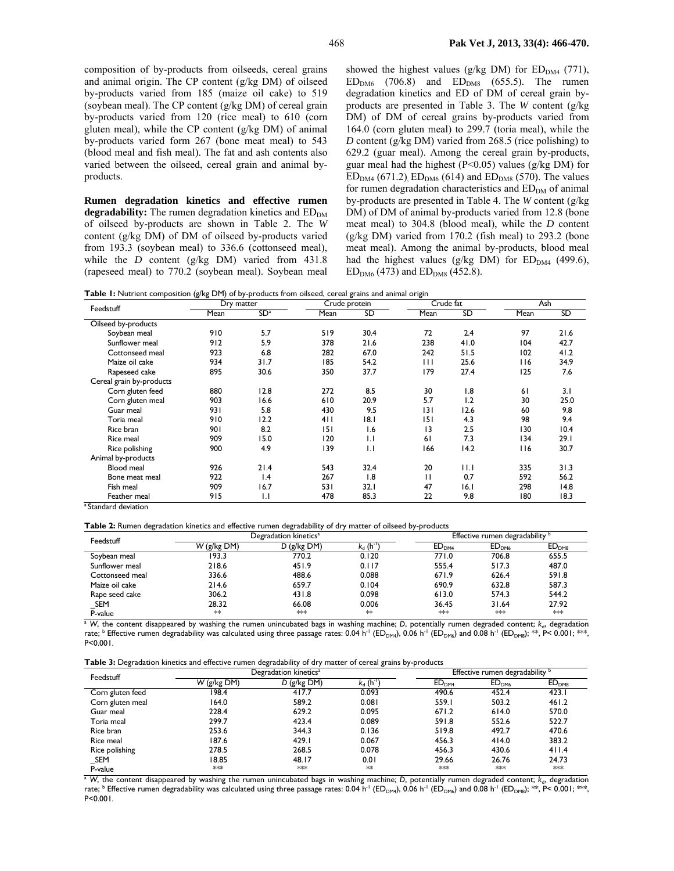composition of by-products from oilseeds, cereal grains and animal origin. The CP content (g/kg DM) of oilseed by-products varied from 185 (maize oil cake) to 519 (soybean meal). The CP content (g/kg DM) of cereal grain by-products varied from 120 (rice meal) to 610 (corn gluten meal), while the CP content (g/kg DM) of animal by-products varied form 267 (bone meat meal) to 543 (blood meal and fish meal). The fat and ash contents also varied between the oilseed, cereal grain and animal byproducts.

**Rumen degradation kinetics and effective rumen degradability:** The rumen degradation kinetics and ED<sub>DM</sub> of oilseed by-products are shown in Table 2. The *W* content (g/kg DM) of DM of oilseed by-products varied from 193.3 (soybean meal) to 336.6 (cottonseed meal), while the *D* content (g/kg DM) varied from 431.8 (rapeseed meal) to 770.2 (soybean meal). Soybean meal showed the highest values (g/kg DM) for  $ED_{DM4}$  (771),  $ED<sub>DM6</sub>$  (706.8) and  $ED<sub>DM8</sub>$  (655.5). The rumen degradation kinetics and ED of DM of cereal grain byproducts are presented in Table 3. The *W* content (g/kg DM) of DM of cereal grains by-products varied from 164.0 (corn gluten meal) to 299.7 (toria meal), while the *D* content (g/kg DM) varied from 268.5 (rice polishing) to 629.2 (guar meal). Among the cereal grain by-products, guar meal had the highest ( $P < 0.05$ ) values ( $g/kg DM$ ) for  $ED_{DM4}$  (671.2),  $ED_{DM6}$  (614) and  $ED_{DM8}$  (570). The values for rumen degradation characteristics and  $ED<sub>DM</sub>$  of animal by-products are presented in Table 4. The *W* content (g/kg DM) of DM of animal by-products varied from 12.8 (bone meat meal) to 304.8 (blood meal), while the *D* content (g/kg DM) varied from 170.2 (fish meal) to 293.2 (bone meat meal). Among the animal by-products, blood meal had the highest values (g/kg DM) for  $ED_{DM4}$  (499.6),  $ED_{DM6}$  (473) and  $ED_{DM8}$  (452.8).

**Table 1:** Nutrient composition (g/kg DM) of by-products from oilseed, cereal grains and animal origin

| Feedstuff                       | Dry matter |                 | Crude protein |              | Crude fat    |       | Ash  |      |
|---------------------------------|------------|-----------------|---------------|--------------|--------------|-------|------|------|
|                                 | Mean       | SD <sup>a</sup> | Mean          | SD           | Mean         | SD    | Mean | SD   |
| Oilseed by-products             |            |                 |               |              |              |       |      |      |
| Soybean meal                    | 910        | 5.7             | 519           | 30.4         | 72           | 2.4   | 97   | 21.6 |
| Sunflower meal                  | 912        | 5.9             | 378           | 21.6         | 238          | 41.0  | 104  | 42.7 |
| Cottonseed meal                 | 923        | 6.8             | 282           | 67.0         | 242          | 51.5  | 102  | 41.2 |
| Maize oil cake                  | 934        | 31.7            | 185           | 54.2         | $\mathbf{H}$ | 25.6  | 116  | 34.9 |
| Rapeseed cake                   | 895        | 30.6            | 350           | 37.7         | 179          | 27.4  | 125  | 7.6  |
| Cereal grain by-products        |            |                 |               |              |              |       |      |      |
| Corn gluten feed                | 880        | 12.8            | 272           | 8.5          | 30           | 1.8   | 61   | 3.1  |
| Corn gluten meal                | 903        | 16.6            | 610           | 20.9         | 5.7          | 1.2   | 30   | 25.0 |
| Guar meal                       | 931        | 5.8             | 430           | 9.5          | 3            | 12.6  | 60   | 9.8  |
| Toria meal                      | 910        | 12.2            | 4 I I         | 8.1          | 151          | 4.3   | 98   | 9.4  |
| Rice bran                       | 901        | 8.2             | 151           | 1.6          | 13           | 2.5   | 130  | 10.4 |
| Rice meal                       | 909        | 15.0            | 120           | IJ           | 61           | 7.3   | 134  | 29.1 |
| Rice polishing                  | 900        | 4.9             | 139           | $\mathsf{L}$ | 166          | 14.2  | 116  | 30.7 |
| Animal by-products              |            |                 |               |              |              |       |      |      |
| <b>Blood</b> meal               | 926        | 21.4            | 543           | 32.4         | 20           | H.I   | 335  | 31.3 |
| Bone meat meal                  | 922        | 1.4             | 267           | 1.8          | $\mathbf{H}$ | 0.7   | 592  | 56.2 |
| Fish meal                       | 909        | 16.7            | 531           | 32.1         | 47           | 16. I | 298  | 14.8 |
| Feather meal                    | 915        | $\mathsf{L}$    | 478           | 85.3         | 22           | 9.8   | 180  | 18.3 |
| <sup>a</sup> Standard deviation |            |                 |               |              |              |       |      |      |

**Table 2:** Rumen degradation kinetics and effective rumen degradability of dry matter of oilseed by-products

| ີ               |            | ີ                                 |                               |                   |                   |                   |
|-----------------|------------|-----------------------------------|-------------------------------|-------------------|-------------------|-------------------|
| Feedstuff       |            | Degradation kinetics <sup>a</sup> | Effective rumen degradability |                   |                   |                   |
|                 | W(g/kg DM) | $D$ (g/kg DM)                     | $k_{d}$ (h <sup>-1</sup>      | ED <sub>DM4</sub> | ED <sub>DMS</sub> | ED <sub>DMS</sub> |
| Soybean meal    | 193.3      | 770.2                             | 0.120                         | 771.0             | 706.8             | 655.5             |
| Sunflower meal  | 218.6      | 451.9                             | 0.117                         | 555.4             | 517.3             | 487.0             |
| Cottonseed meal | 336.6      | 488.6                             | 0.088                         | 671.9             | 626.4             | 591.8             |
| Maize oil cake  | 214.6      | 659.7                             | 0.104                         | 690.9             | 632.8             | 587.3             |
| Rape seed cake  | 306.2      | 431.8                             | 0.098                         | 613.0             | 574.3             | 544.2             |
| SEM             | 28.32      | 66.08                             | 0.006                         | 36.45             | 31.64             | 27.92             |
| P-value         | $**$       | $*$                               | $*$                           | $***$             | $***$             | $**$              |

<sup>a</sup> W, the content disappeared by washing the rumen unincubated bags in washing machine; *D*, potentially rumen degraded content; *k<sub>d</sub>*, degradation rate;  $^{\rm b}$  Effective rumen degradability was calculated using three passage rates: 0.04 h<sup>-1</sup> (ED<sub>DM4</sub>), 0.06 h<sup>-1</sup> (ED<sub>DM6</sub>) and 0.08 h<sup>-1</sup> (ED<sub>DM8</sub>); \*\*, P< 0.001; \*\*\*, P<0.001.

**Table 3:** Degradation kinetics and effective rumen degradability of dry matter of cereal grains by-products

| ີ                |                                   | . .           | . .                           | .                               |                   |                   |
|------------------|-----------------------------------|---------------|-------------------------------|---------------------------------|-------------------|-------------------|
| Feedstuff        | Degradation kinetics <sup>a</sup> |               |                               | Effective rumen degradability b |                   |                   |
|                  | $W$ (g/kg DM)                     | $D$ (g/kg DM) | $k_{\rm d}$ (h <sup>-11</sup> | ED <sub>DM4</sub>               | ED <sub>DMS</sub> | ED <sub>DMS</sub> |
| Corn gluten feed | 198.4                             | 417.7         | 0.093                         | 490.6                           | 452.4             | 423.1             |
| Corn gluten meal | 164.0                             | 589.2         | 0.081                         | 559.1                           | 503.2             | 461.2             |
| Guar meal        | 228.4                             | 629.2         | 0.095                         | 671.2                           | 614.0             | 570.0             |
| Toria meal       | 299.7                             | 423.4         | 0.089                         | 591.8                           | 552.6             | 522.7             |
| Rice bran        | 253.6                             | 344.3         | 0.136                         | 519.8                           | 492.7             | 470.6             |
| Rice meal        | 187.6                             | 429.1         | 0.067                         | 456.3                           | 414.0             | 383.2             |
| Rice polishing   | 278.5                             | 268.5         | 0.078                         | 456.3                           | 430.6             | 411.4             |
| SEM              | 18.85                             | 48.17         | 0.01                          | 29.66                           | 26.76             | 24.73             |
| P-value          | $***$                             | $**$          | $*$                           | $*$                             | $***$             | $**$              |

<sup>a</sup> *W*, the content disappeared by washing the rumen unincubated bags in washing machine; *D*, potentially rumen degraded content;  $k_d$ , degradation rate;  $^{\rm b}$  Effective rumen degradability was calculated using three passage rates: 0.04 h<sup>-1</sup> (ED<sub>DM4</sub>), 0.06 h<sup>-1</sup> (ED<sub>DM6</sub>) and 0.08 h<sup>-1</sup> (ED<sub>DM8</sub>); \*\*, P< 0.001; \*\*\*, P<0.001.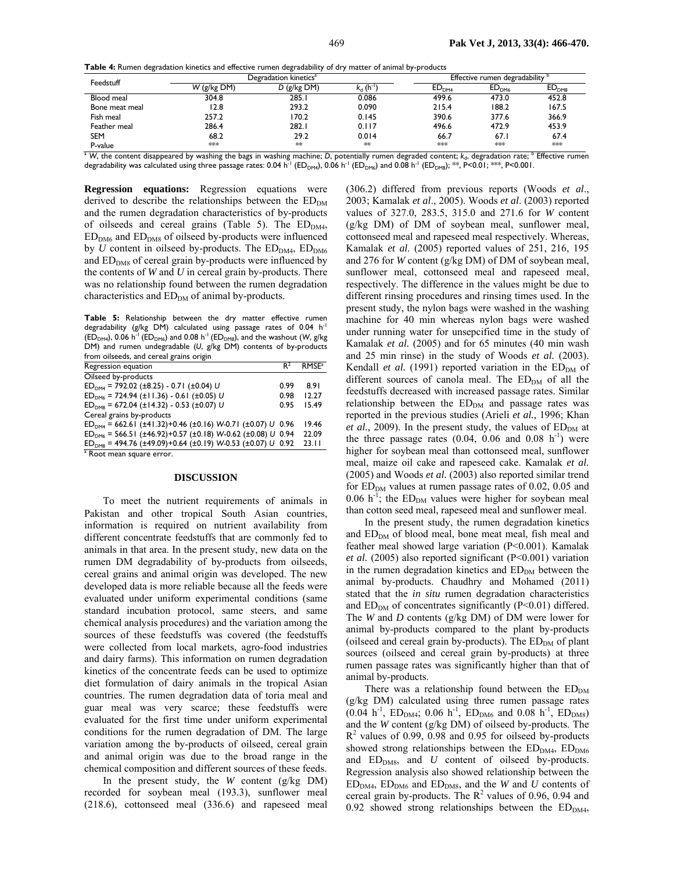| Table 4: Rumen degradation kinetics and effective rumen degradability of dry matter of animal by-products |  |  |
|-----------------------------------------------------------------------------------------------------------|--|--|
|-----------------------------------------------------------------------------------------------------------|--|--|

| Feedstuff      | Degradation kinetics <sup>a</sup> |               | Effective rumen degradability |                   |                   |                   |
|----------------|-----------------------------------|---------------|-------------------------------|-------------------|-------------------|-------------------|
|                | $W$ (g/kg DM)                     | $D$ (g/kg DM) | $k_{\rm d}$ (h <sup>-1</sup>  | ED <sub>DM4</sub> | ED <sub>DMS</sub> | ED <sub>DMB</sub> |
| Blood meal     | 304.8                             | 285.I         | 0.086                         | 499.6             | 473.0             | 452.8             |
| Bone meat meal | 12.8                              | 293.2         | 0.090                         | 215.4             | 188.2             | 167.5             |
| Fish meal      | 257.2                             | 170.2         | 0.145                         | 390.6             | 377.6             | 366.9             |
| Feather meal   | 286.4                             | 282.1         | 0.117                         | 496.6             | 472.9             | 453.9             |
| SEM            | 68.2                              | 29.2          | 0.014                         | 66.7              | 67.1              | 67.4              |
| P-value        | ***                               | **            | $*$                           | $***$             | $***$             | $***$             |

<sup>a</sup> W, the content disappeared by washing the bags in washing machine; D, potentially rumen degraded content; k<sub>d</sub>, degradation rate; <sup>b</sup> Effective rumen degradability was calculated using three passage rates: 0.04 h<sup>-1</sup> (ED<sub>DM4</sub>), 0.06 h<sup>-1</sup> (ED<sub>DM6</sub>) and 0.08 h<sup>-1</sup> (ED<sub>DM8</sub>); \*\*, P<0.01; \*\*\*, P<0.01;

**Regression equations:** Regression equations were derived to describe the relationships between the  $ED_{DM}$ and the rumen degradation characteristics of by-products of oilseeds and cereal grains (Table 5). The  $ED<sub>DMA</sub>$ ,  $ED<sub>DMS</sub>$  and  $ED<sub>DMS</sub>$  of oilseed by-products were influenced by *U* content in oilseed by-products. The  $ED_{DM4}$ ,  $ED_{DM6}$ and  $ED<sub>DMS</sub>$  of cereal grain by-products were influenced by the contents of *W* and *U* in cereal grain by-products. There was no relationship found between the rumen degradation characteristics and  $ED<sub>DM</sub>$  of animal by-products.

**Table 5:** Relationship between the dry matter effective rumen degradability (g/kg DM) calculated using passage rates of 0.04 h<sup>-1</sup>  $(ED<sub>DMA</sub>)$ , 0.06 h<sup>-1</sup> ( $ED<sub>DMS</sub>$ ) and 0.08 h<sup>-1</sup> ( $ED<sub>DMS</sub>$ ), and the washout (*W*, g/kg DM) and rumen undegradable (*U*, g/kg DM) contents of by-products from oilseeds, and cereal grains origin

| If OIL OILSEEUS, and CEI Early aims OILYNT                      |                |                   |
|-----------------------------------------------------------------|----------------|-------------------|
| Regression equation                                             | R <sup>2</sup> | RMSE <sup>a</sup> |
| Oilseed by-products                                             |                |                   |
| $ED_{DM4}$ = 792.02 (±8.25) - 0.71 (±0.04) U                    | 0.99           | 8.91              |
| $ED_{DM6} = 724.94 (\pm 11.36) - 0.61 (\pm 0.05) U$             | 0.98           | 12.27             |
| $EDDMS = 672.04 (\pm 14.32) - 0.53 (\pm 0.07) U$                | 0.95           | 15.49             |
| Cereal grains by-products                                       |                |                   |
| $ED_{DM4} = 662.61$ (±41.32)+0.46 (±0.16) W-0.71 (±0.07) U 0.96 |                | 19.46             |
| $ED_{DM6} = 566.51$ (±46.92)+0.57 (±0.18) W-0.62 (±0.08) U 0.94 |                | 22.09             |
| $EDDMS = 494.76$ (±49.09)+0.64 (±0.19) W-0.53 (±0.07) U 0.92    |                | 23.11             |
| <sup>a</sup> Root mean square error.                            |                |                   |

#### **DISCUSSION**

To meet the nutrient requirements of animals in Pakistan and other tropical South Asian countries, information is required on nutrient availability from different concentrate feedstuffs that are commonly fed to animals in that area. In the present study, new data on the rumen DM degradability of by-products from oilseeds, cereal grains and animal origin was developed. The new developed data is more reliable because all the feeds were evaluated under uniform experimental conditions (same standard incubation protocol, same steers, and same chemical analysis procedures) and the variation among the sources of these feedstuffs was covered (the feedstuffs were collected from local markets, agro-food industries and dairy farms). This information on rumen degradation kinetics of the concentrate feeds can be used to optimize diet formulation of dairy animals in the tropical Asian countries. The rumen degradation data of toria meal and guar meal was very scarce; these feedstuffs were evaluated for the first time under uniform experimental conditions for the rumen degradation of DM. The large variation among the by-products of oilseed, cereal grain and animal origin was due to the broad range in the chemical composition and different sources of these feeds.

In the present study, the *W* content (g/kg DM) recorded for soybean meal (193.3), sunflower meal (218.6), cottonseed meal (336.6) and rapeseed meal (306.2) differed from previous reports (Woods *et al*., 2003; Kamalak *et al*., 2005). Woods *et al*. (2003) reported values of 327.0, 283.5, 315.0 and 271.6 for *W* content (g/kg DM) of DM of soybean meal, sunflower meal, cottonseed meal and rapeseed meal respectively. Whereas, Kamalak *et al*. (2005) reported values of 251, 216, 195 and 276 for *W* content (g/kg DM) of DM of soybean meal, sunflower meal, cottonseed meal and rapeseed meal, respectively. The difference in the values might be due to different rinsing procedures and rinsing times used. In the present study, the nylon bags were washed in the washing machine for 40 min whereas nylon bags were washed under running water for unsepcified time in the study of Kamalak *et al.* (2005) and for 65 minutes (40 min wash and 25 min rinse) in the study of Woods *et al.* (2003). Kendall *et al.* (1991) reported variation in the ED<sub>DM</sub> of different sources of canola meal. The  $ED_{DM}$  of all the feedstuffs decreased with increased passage rates. Similar relationship between the ED<sub>DM</sub> and passage rates was reported in the previous studies (Arieli *et al.,* 1996; Khan *et al.*, 2009). In the present study, the values of  $ED_{DM}$  at the three passage rates  $(0.04, 0.06 \text{ and } 0.08 \text{ h}^{-1})$  were higher for soybean meal than cottonseed meal, sunflower meal, maize oil cake and rapeseed cake. Kamalak *et al.* (2005) and Woods *et al.* (2003) also reported similar trend for  $ED_{DM}$  values at rumen passage rates of 0.02, 0.05 and 0.06 h<sup>-1</sup>; the  $ED_{DM}$  values were higher for soybean meal than cotton seed meal, rapeseed meal and sunflower meal.

In the present study, the rumen degradation kinetics and  $ED_{DM}$  of blood meal, bone meat meal, fish meal and feather meal showed large variation (P<0.001). Kamalak *et al.* (2005) also reported significant (P<0.001) variation in the rumen degradation kinetics and  $ED<sub>DM</sub>$  between the animal by-products. Chaudhry and Mohamed (2011) stated that the *in situ* rumen degradation characteristics and  $ED_{DM}$  of concentrates significantly (P<0.01) differed. The *W* and *D* contents (g/kg DM) of DM were lower for animal by-products compared to the plant by-products (oilseed and cereal grain by-products). The  $ED<sub>DM</sub>$  of plant sources (oilseed and cereal grain by-products) at three rumen passage rates was significantly higher than that of animal by-products.

There was a relationship found between the  $ED_{DM}$ (g/kg DM) calculated using three rumen passage rates  $(0.04 \text{ h}^{-1}, \text{ED}_{\text{DM4}}; 0.06 \text{ h}^{-1}, \text{ED}_{\text{DM6}} \text{ and } 0.08 \text{ h}^{-1}, \text{ED}_{\text{DM8}})$ and the *W* content (g/kg DM) of oilseed by-products. The  $R<sup>2</sup>$  values of 0.99, 0.98 and 0.95 for oilseed by-products showed strong relationships between the  $ED<sub>DMA</sub>$ ,  $ED<sub>DMA</sub>$ and ED<sub>DM8</sub>, and *U* content of oilseed by-products. Regression analysis also showed relationship between the  $ED<sub>DM4</sub>$ ,  $ED<sub>DM6</sub>$  and  $ED<sub>DM8</sub>$ , and the *W* and *U* contents of cereal grain by-products. The  $R^2$  values of 0.96, 0.94 and 0.92 showed strong relationships between the  $ED<sub>DMA</sub>$ ,